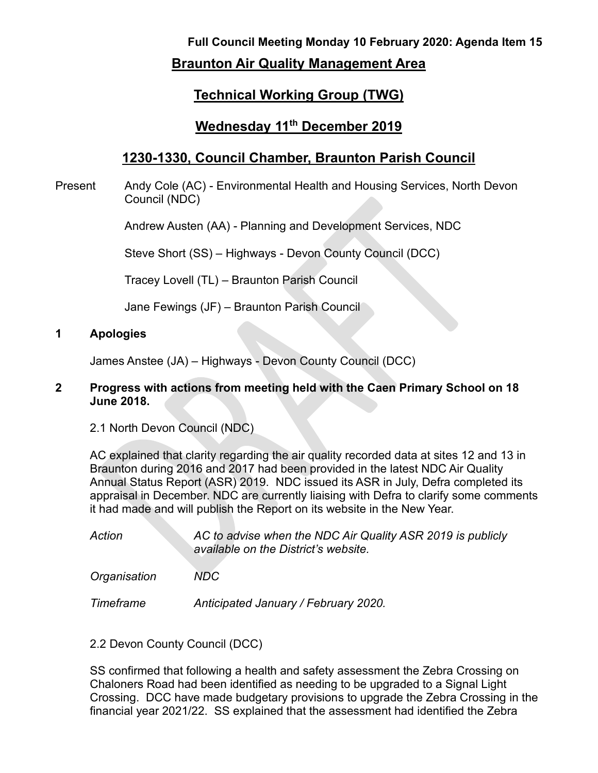# **Full Council Meeting Monday 10 February 2020: Agenda Item 15 Braunton Air Quality Management Area**

## **Technical Working Group (TWG)**

### **Wednesday 11th December 2019**

## **1230-1330, Council Chamber, Braunton Parish Council**

Present Andy Cole (AC) - Environmental Health and Housing Services, North Devon Council (NDC)

Andrew Austen (AA) - Planning and Development Services, NDC

Steve Short (SS) – Highways - Devon County Council (DCC)

Tracey Lovell (TL) – Braunton Parish Council

Jane Fewings (JF) – Braunton Parish Council

#### **1 Apologies**

James Anstee (JA) – Highways - Devon County Council (DCC)

#### **2 Progress with actions from meeting held with the Caen Primary School on 18 June 2018.**

2.1 North Devon Council (NDC)

AC explained that clarity regarding the air quality recorded data at sites 12 and 13 in Braunton during 2016 and 2017 had been provided in the latest NDC Air Quality Annual Status Report (ASR) 2019. NDC issued its ASR in July, Defra completed its appraisal in December. NDC are currently liaising with Defra to clarify some comments it had made and will publish the Report on its website in the New Year.

*Action AC to advise when the NDC Air Quality ASR 2019 is publicly available on the District's website.*

*Organisation NDC*

*Timeframe Anticipated January / February 2020.*

2.2 Devon County Council (DCC)

SS confirmed that following a health and safety assessment the Zebra Crossing on Chaloners Road had been identified as needing to be upgraded to a Signal Light Crossing. DCC have made budgetary provisions to upgrade the Zebra Crossing in the financial year 2021/22. SS explained that the assessment had identified the Zebra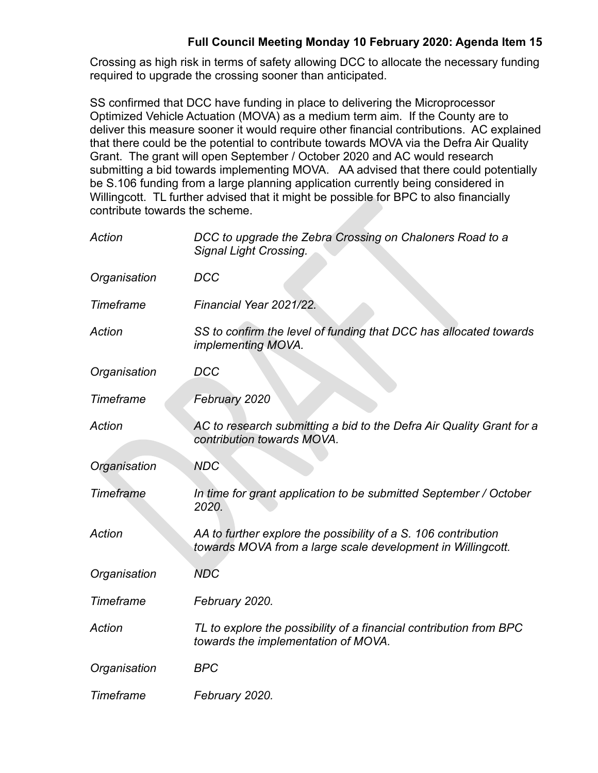### **Full Council Meeting Monday 10 February 2020: Agenda Item 15**

Crossing as high risk in terms of safety allowing DCC to allocate the necessary funding required to upgrade the crossing sooner than anticipated.

SS confirmed that DCC have funding in place to delivering the Microprocessor Optimized Vehicle Actuation (MOVA) as a medium term aim. If the County are to deliver this measure sooner it would require other financial contributions. AC explained that there could be the potential to contribute towards MOVA via the Defra Air Quality Grant. The grant will open September / October 2020 and AC would research submitting a bid towards implementing MOVA. AA advised that there could potentially be S.106 funding from a large planning application currently being considered in Willingcott. TL further advised that it might be possible for BPC to also financially contribute towards the scheme.

| Action           | DCC to upgrade the Zebra Crossing on Chaloners Road to a<br><b>Signal Light Crossing.</b>                                     |
|------------------|-------------------------------------------------------------------------------------------------------------------------------|
| Organisation     | <b>DCC</b>                                                                                                                    |
| Timeframe        | Financial Year 2021/22.                                                                                                       |
| <b>Action</b>    | SS to confirm the level of funding that DCC has allocated towards<br>implementing MOVA.                                       |
| Organisation     | <b>DCC</b>                                                                                                                    |
| <b>Timeframe</b> | February 2020                                                                                                                 |
| Action           | AC to research submitting a bid to the Defra Air Quality Grant for a<br>contribution towards MOVA.                            |
| Organisation     | <b>NDC</b>                                                                                                                    |
| Timeframe        | In time for grant application to be submitted September / October<br>2020.                                                    |
| <b>Action</b>    | AA to further explore the possibility of a S. 106 contribution<br>towards MOVA from a large scale development in Willingcott. |
| Organisation     | <b>NDC</b>                                                                                                                    |
| <b>Timeframe</b> | February 2020.                                                                                                                |
| Action           | TL to explore the possibility of a financial contribution from BPC<br>towards the implementation of MOVA.                     |
| Organisation     | <b>BPC</b>                                                                                                                    |
| Timeframe        | February 2020.                                                                                                                |